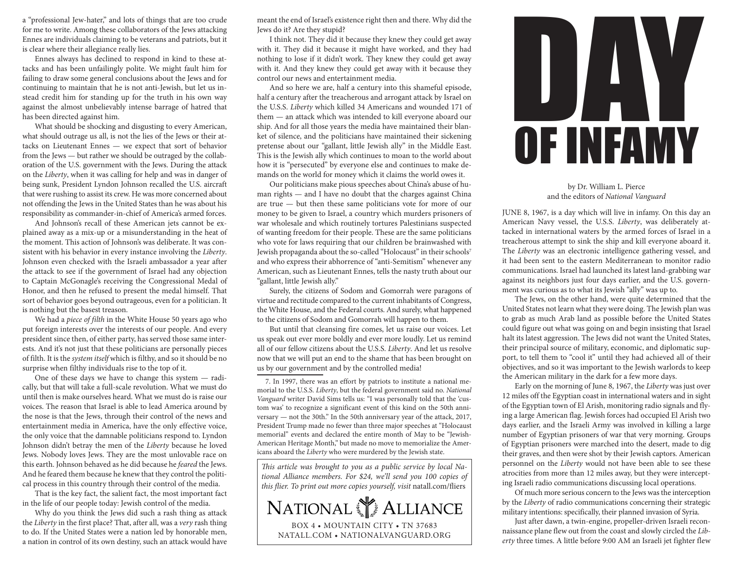a "professional Jew-hater," and lots of things that are too crude for me to write. Among these collaborators of the Jews attacking Ennes are individuals claiming to be veterans and patriots, but it is clear where their allegiance really lies.

Ennes always has declined to respond in kind to these attacks and has been unfailingly polite. We might fault him for failing to draw some general conclusions about the Jews and for continuing to maintain that he is not anti-Jewish, but let us instead credit him for standing up for the truth in his own way against the almost unbelievably intense barrage of hatred that has been directed against him.

What should be shocking and disgusting to every American, what should outrage us all, is not the lies of the Jews or their attacks on Lieutenant Ennes — we expect that sort of behavior from the Jews — but rather we should be outraged by the collaboration of the U.S. government with the Jews. During the attack on the *Liberty*, when it was calling for help and was in danger of being sunk, President Lyndon Johnson recalled the U.S. aircraft that were rushing to assist its crew. He was more concerned about not offending the Jews in the United States than he was about his responsibility as commander-in-chief of America's armed forces.

And Johnson's recall of these American jets cannot be explained away as a mix-up or a misunderstanding in the heat of the moment. This action of Johnson's was deliberate. It was consistent with his behavior in every instance involving the *Liberty*. Johnson even checked with the Israeli ambassador a year after the attack to see if the government of Israel had any objection to Captain McGonagle's receiving the Congressional Medal of Honor, and then he refused to present the medal himself. That sort of behavior goes beyond outrageous, even for a politician. It is nothing but the basest treason.

We had a *piece of filth* in the White House 50 years ago who put foreign interests over the interests of our people. And every president since then, of either party, has served those same interests. And it's not just that these politicians are personally pieces of filth. It is the *system itself* which is filthy, and so it should be no surprise when filthy individuals rise to the top of it.

One of these days we have to change this system — radically, but that will take a full-scale revolution. What we must do until then is make ourselves heard. What we must do is raise our voices. The reason that Israel is able to lead America around by the nose is that the Jews, through their control of the news and entertainment media in America, have the only effective voice, the only voice that the damnable politicians respond to. Lyndon Johnson didn't betray the men of the *Liberty* because he loved Jews. Nobody loves Jews. They are the most unlovable race on this earth. Johnson behaved as he did because he *feared* the Jews. And he feared them because he knew that they control the political process in this country through their control of the media.

That is the key fact, the salient fact, the most important fact in the life of our people today: Jewish control of the media.

Why do you think the Jews did such a rash thing as attack the *Liberty* in the first place? That, after all, was a *very* rash thing to do. If the United States were a nation led by honorable men, a nation in control of its own destiny, such an attack would have

meant the end of Israel's existence right then and there. Why did the Jews do it? Are they stupid?

I think not. They did it because they knew they could get away with it. They did it because it might have worked, and they had nothing to lose if it didn't work. They knew they could get away with it. And they knew they could get away with it because they control our news and entertainment media.

And so here we are, half a century into this shameful episode, half a century after the treacherous and arrogant attack by Israel on the U.S.S. *Liberty* which killed 34 Americans and wounded 171 of them — an attack which was intended to kill everyone aboard our ship. And for all those years the media have maintained their blanket of silence, and the politicians have maintained their sickening pretense about our "gallant, little Jewish ally" in the Middle East. This is the Jewish ally which continues to moan to the world about how it is "persecuted" by everyone else and continues to make demands on the world for money which it claims the world owes it.

Our politicians make pious speeches about China's abuse of human rights — and I have no doubt that the charges against China are true — but then these same politicians vote for more of our money to be given to Israel, a country which murders prisoners of war wholesale and which routinely tortures Palestinians suspected of wanting freedom for their people. These are the same politicians who vote for laws requiring that our children be brainwashed with Jewish propaganda about the so-called "Holocaust" in their schools7 and who express their abhorrence of "anti-Semitism" whenever any American, such as Lieutenant Ennes, tells the nasty truth about our "gallant, little Jewish ally."

Surely, the citizens of Sodom and Gomorrah were paragons of virtue and rectitude compared to the current inhabitants of Congress, the White House, and the Federal courts. And surely, what happened to the citizens of Sodom and Gomorrah will happen to them.

But until that cleansing fire comes, let us raise our voices. Let us speak out ever more boldly and ever more loudly. Let us remind all of our fellow citizens about the U.S.S. *Liberty*. And let us resolve now that we will put an end to the shame that has been brought on us by our government and by the controlled media!

7. In 1997, there was an effort by patriots to institute a national memorial to the U.S.S. *Liberty*, but the federal government said no. *National Vanguard* writer David Sims tells us: "I was personally told that the 'custom was' to recognize a significant event of this kind on the 50th anniversary — not the 30th." In the 50th anniversary year of the attack, 2017, President Trump made no fewer than three major speeches at "Holocaust memorial" events and declared the entire month of May to be "Jewish-American Heritage Month," but made no move to memorialize the Americans aboard the *Liberty* who were murdered by the Jewish state.

*This article was brought to you as a public service by local National Alliance members. For \$24, we'll send you 100 copies of this flier. To print out more copies yourself, visit* natall.com/fliers





## by Dr. William L. Pierce and the editors of *National Vanguard*

JUNE 8, 1967, is a day which will live in infamy. On this day an American Navy vessel, the U.S.S. *Liberty*, was deliberately attacked in international waters by the armed forces of Israel in a treacherous attempt to sink the ship and kill everyone aboard it. The *Liberty* was an electronic intelligence gathering vessel, and it had been sent to the eastern Mediterranean to monitor radio communications. Israel had launched its latest land-grabbing war against its neighbors just four days earlier, and the U.S. government was curious as to what its Jewish "ally" was up to.

The Jews, on the other hand, were quite determined that the United States not learn what they were doing. The Jewish plan was to grab as much Arab land as possible before the United States could figure out what was going on and begin insisting that Israel halt its latest aggression. The Jews did not want the United States, their principal source of military, economic, and diplomatic support, to tell them to "cool it" until they had achieved all of their objectives, and so it was important to the Jewish warlords to keep the American military in the dark for a few more days.

Early on the morning of June 8, 1967, the *Liberty* was just over 12 miles off the Egyptian coast in international waters and in sight of the Egyptian town of El Arish, monitoring radio signals and flying a large American flag. Jewish forces had occupied El Arish two days earlier, and the Israeli Army was involved in killing a large number of Egyptian prisoners of war that very morning. Groups of Egyptian prisoners were marched into the desert, made to dig their graves, and then were shot by their Jewish captors. American personnel on the *Liberty* would not have been able to see these atrocities from more than 12 miles away, but they were intercepting Israeli radio communications discussing local operations.

Of much more serious concern to the Jews was the interception by the *Liberty* of radio communications concerning their strategic military intentions: specifically, their planned invasion of Syria.

Just after dawn, a twin-engine, propeller-driven Israeli reconnaissance plane flew out from the coast and slowly circled the *Liberty* three times. A little before 9:00 AM an Israeli jet fighter flew